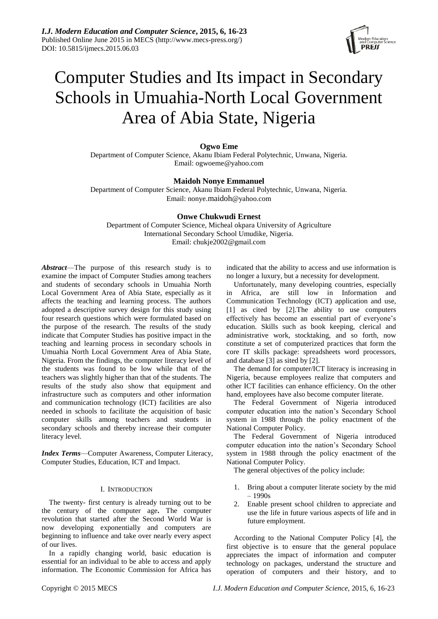

# Computer Studies and Its impact in Secondary Schools in Umuahia-North Local Government Area of Abia State, Nigeria

**Ogwo Eme**

Department of Computer Science, Akanu Ibiam Federal Polytechnic, Unwana, Nigeria. Email: ogwoeme@yahoo.com

# **Maidoh Nonye Emmanuel**

Department of Computer Science, Akanu Ibiam Federal Polytechnic, Unwana, Nigeria. Email: nonye.maidoh@yahoo.com

## **Onwe Chukwudi Ernest**

Department of Computer Science, Micheal okpara University of Agriculture International Secondary School Umudike, Nigeria. Email: chukje2002@gmail.com

*Abstract*—The purpose of this research study is to examine the impact of Computer Studies among teachers and students of secondary schools in Umuahia North Local Government Area of Abia State, especially as it affects the teaching and learning process. The authors adopted a descriptive survey design for this study using four research questions which were formulated based on the purpose of the research. The results of the study indicate that Computer Studies has positive impact in the teaching and learning process in secondary schools in Umuahia North Local Government Area of Abia State, Nigeria. From the findings, the computer literacy level of the students was found to be low while that of the teachers was slightly higher than that of the students. The results of the study also show that equipment and infrastructure such as computers and other information and communication technology (ICT) facilities are also needed in schools to facilitate the acquisition of basic computer skills among teachers and students in secondary schools and thereby increase their computer literacy level.

*Index Terms*—Computer Awareness, Computer Literacy, Computer Studies, Education, ICT and Impact.

## I. INTRODUCTION

The twenty- first century is already turning out to be the century of the computer age**.** The computer revolution that started after the Second World War is now developing exponentially and computers are beginning to influence and take over nearly every aspect of our lives.

In a rapidly changing world, basic education is essential for an individual to be able to access and apply information. The Economic Commission for Africa has

indicated that the ability to access and use information is no longer a luxury, but a necessity for development.

Unfortunately, many developing countries, especially in Africa, are still low in Information and Communication Technology (ICT) application and use, [1] as cited by [2].The ability to use computers effectively has become an essential part of everyone's education. Skills such as book keeping, clerical and administrative work, stocktaking, and so forth, now constitute a set of computerized practices that form the core IT skills package: spreadsheets word processors, and database [3] as sited by [2].

The demand for computer/ICT literacy is increasing in Nigeria, because employees realize that computers and other ICT facilities can enhance efficiency. On the other hand, employees have also become computer literate.

The Federal Government of Nigeria introduced computer education into the nation's Secondary School system in 1988 through the policy enactment of the National Computer Policy.

The Federal Government of Nigeria introduced computer education into the nation's Secondary School system in 1988 through the policy enactment of the National Computer Policy.

The general objectives of the policy include:

- 1. Bring about a computer literate society by the mid – 1990s
- 2. Enable present school children to appreciate and use the life in future various aspects of life and in future employment.

According to the National Computer Policy [4], the first objective is to ensure that the general populace appreciates the impact of information and computer technology on packages, understand the structure and operation of computers and their history, and to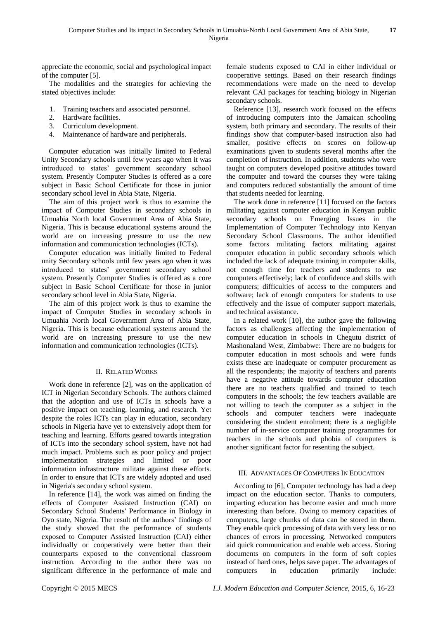appreciate the economic, social and psychological impact of the computer [5].

The modalities and the strategies for achieving the stated objectives include:

- 1. Training teachers and associated personnel.
- 2. Hardware facilities.
- 3. Curriculum development.
- 4. Maintenance of hardware and peripherals.

Computer education was initially limited to Federal Unity Secondary schools until few years ago when it was introduced to states' government secondary school system. Presently Computer Studies is offered as a core subject in Basic School Certificate for those in junior secondary school level in Abia State, Nigeria.

The aim of this project work is thus to examine the impact of Computer Studies in secondary schools in Umuahia North local Government Area of Abia State, Nigeria. This is because educational systems around the world are on increasing pressure to use the new information and communication technologies (ICTs).

Computer education was initially limited to Federal unity Secondary schools until few years ago when it was introduced to states' government secondary school system. Presently Computer Studies is offered as a core subject in Basic School Certificate for those in junior secondary school level in Abia State, Nigeria.

The aim of this project work is thus to examine the impact of Computer Studies in secondary schools in Umuahia North local Government Area of Abia State, Nigeria. This is because educational systems around the world are on increasing pressure to use the new information and communication technologies (ICTs).

## II. RELATED WORKS

Work done in reference [2], was on the application of ICT in Nigerian Secondary Schools. The authors claimed that the adoption and use of ICTs in schools have a positive impact on teaching, learning, and research. Yet despite the roles ICTs can play in education, secondary schools in Nigeria have yet to extensively adopt them for teaching and learning. Efforts geared towards integration of ICTs into the secondary school system, have not had much impact. Problems such as poor policy and project implementation strategies and limited or poor information infrastructure militate against these efforts. In order to ensure that ICTs are widely adopted and used in Nigeria's secondary school system.

In reference [14], the work was aimed on finding the effects of Computer Assisted Instruction (CAI) on Secondary School Students' Performance in Biology in Oyo state, Nigeria. The result of the authors' findings of the study showed that the performance of students exposed to Computer Assisted Instruction (CAI) either individually or cooperatively were better than their counterparts exposed to the conventional classroom instruction. According to the author there was no significant difference in the performance of male and

female students exposed to CAI in either individual or cooperative settings. Based on their research findings recommendations were made on the need to develop relevant CAI packages for teaching biology in Nigerian secondary schools.

Reference [13], research work focused on the effects of introducing computers into the Jamaican schooling system, both primary and secondary. The results of their findings show that computer-based instruction also had smaller, positive effects on scores on follow-up examinations given to students several months after the completion of instruction. In addition, students who were taught on computers developed positive attitudes toward the computer and toward the courses they were taking and computers reduced substantially the amount of time that students needed for learning.

The work done in reference [11] focused on the factors militating against computer education in Kenyan public secondary schools on Emerging Issues in the Implementation of Computer Technology into Kenyan Secondary School Classrooms. The author identified some factors militating factors militating against computer education in public secondary schools which included the lack of adequate training in computer skills, not enough time for teachers and students to use computers effectively; lack of confidence and skills with computers; difficulties of access to the computers and software; lack of enough computers for students to use effectively and the issue of computer support materials, and technical assistance.

In a related work [10], the author gave the following factors as challenges affecting the implementation of computer education in schools in Chegutu district of Mashonaland West, Zimbabwe: There are no budgets for computer education in most schools and were funds exists these are inadequate or computer procurement as all the respondents; the majority of teachers and parents have a negative attitude towards computer education there are no teachers qualified and trained to teach computers in the schools; the few teachers available are not willing to teach the computer as a subject in the schools and computer teachers were inadequate considering the student enrolment; there is a negligible number of in-service computer training programmes for teachers in the schools and phobia of computers is another significant factor for resenting the subject.

## III. ADVANTAGES OF COMPUTERS IN EDUCATION

According to [6], Computer technology has had a deep impact on the education sector. Thanks to computers, imparting education has become easier and much more interesting than before. Owing to memory capacities of computers, large chunks of data can be stored in them. They enable quick processing of data with very less or no chances of errors in processing. Networked computers aid quick communication and enable web access. Storing documents on computers in the form of soft copies instead of hard ones, helps save paper. The advantages of computers in education primarily include: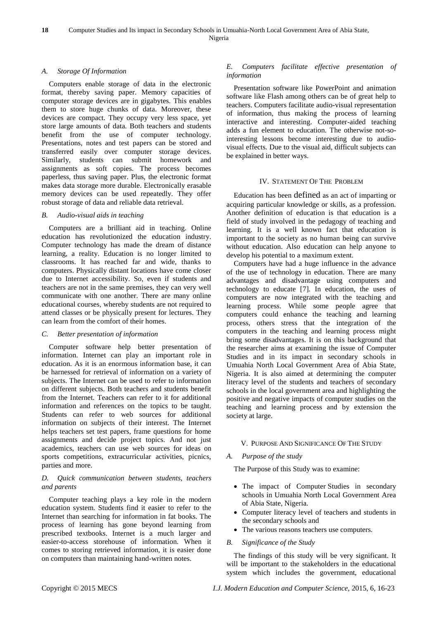## *A. Storage Of Information*

Computers enable storage of data in the electronic format, thereby saving paper. Memory capacities of computer storage devices are in gigabytes. This enables them to store huge chunks of data. Moreover, these devices are compact. They occupy very less space, yet store large amounts of data. Both teachers and students benefit from the use of computer technology. Presentations, notes and test papers can be stored and transferred easily over computer storage devices. Similarly, students can submit homework and assignments as soft copies. The process becomes paperless, thus saving paper. Plus, the electronic format makes data storage more durable. Electronically erasable memory devices can be used repeatedly. They offer robust storage of data and reliable data retrieval.

## *B. Audio-visual aids in teaching*

Computers are a brilliant aid in teaching. Online education has revolutionized the education industry. Computer technology has made the dream of distance learning, a reality. Education is no longer limited to classrooms. It has reached far and wide, thanks to computers. Physically distant locations have come closer due to Internet accessibility. So, even if students and teachers are not in the same premises, they can very well communicate with one another. There are many online educational courses, whereby students are not required to attend classes or be physically present for lectures. They can learn from the comfort of their homes.

## *C. Better presentation of information*

Computer software help better presentation of information. Internet can play an important role in education. As it is an enormous information base, it can be harnessed for retrieval of information on a variety of subjects. The Internet can be used to refer to information on different subjects. Both teachers and students benefit from the Internet. Teachers can refer to it for additional information and references on the topics to be taught. Students can refer to web sources for additional information on subjects of their interest. The Internet helps teachers set test papers, frame questions for home assignments and decide project topics. And not just academics, teachers can use web sources for ideas on sports competitions, extracurricular activities, picnics, parties and more.

## *D. Quick communication between students, teachers and parents*

Computer teaching plays a key role in the modern education system. Students find it easier to refer to the Internet than searching for information in fat books. The process of learning has gone beyond learning from prescribed textbooks. Internet is a much larger and easier-to-access storehouse of information. When it comes to storing retrieved information, it is easier done on computers than maintaining hand-written notes.

## *E. Computers facilitate effective presentation of information*

Presentation software like PowerPoint and animation software like Flash among others can be of great help to teachers. Computers facilitate audio-visual representation of information, thus making the process of learning interactive and interesting. Computer-aided teaching adds a fun element to education. The otherwise not-sointeresting lessons become interesting due to audiovisual effects. Due to the visual aid, difficult subjects can be explained in better ways.

# IV. STATEMENT OF THE PROBLEM

Education has been defined as an act of imparting or acquiring particular knowledge or skills, as a profession. Another definition of education is that education is a field of study involved in the pedagogy of teaching and learning. It is a well known fact that education is important to the society as no human being can survive without education. Also education can help anyone to develop his potential to a maximum extent.

Computers have had a huge influence in the advance of the use of technology in education. There are many advantages and disadvantage using computers and technology to educate [7]. In education, the uses of computers are now integrated with the teaching and learning process. While some people agree that computers could enhance the teaching and learning process, others stress that the integration of the computers in the teaching and learning process might bring some disadvantages. It is on this background that the researcher aims at examining the issue of Computer Studies and in its impact in secondary schools in Umuahia North Local Government Area of Abia State, Nigeria. It is also aimed at determining the computer literacy level of the students and teachers of secondary schools in the local government area and highlighting the positive and negative impacts of computer studies on the teaching and learning process and by extension the society at large.

# V. PURPOSE AND SIGNIFICANCE OF THE STUDY

# *A. Purpose of the study*

The Purpose of this Study was to examine:

- The impact of Computer Studies in secondary schools in Umuahia North Local Government Area of Abia State, Nigeria.
- Computer literacy level of teachers and students in the secondary schools and
- The various reasons teachers use computers.

# *B. Significance of the Study*

The findings of this study will be very significant. It will be important to the stakeholders in the educational system which includes the government, educational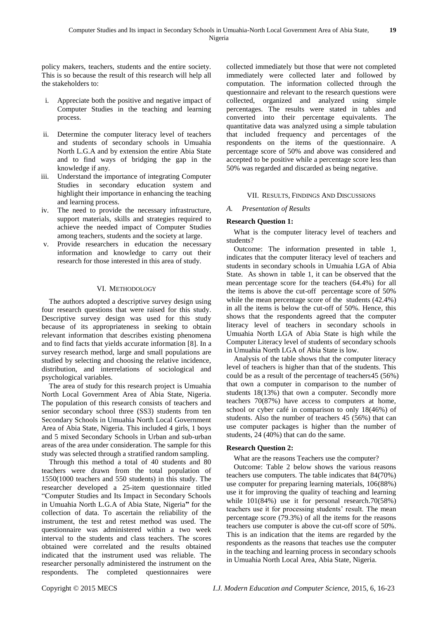policy makers, teachers, students and the entire society. This is so because the result of this research will help all the stakeholders to:

- i. Appreciate both the positive and negative impact of Computer Studies in the teaching and learning process.
- ii. Determine the computer literacy level of teachers and students of secondary schools in Umuahia North L.G.A and by extension the entire Abia State and to find ways of bridging the gap in the knowledge if any.
- iii. Understand the importance of integrating Computer Studies in secondary education system and highlight their importance in enhancing the teaching and learning process.
- iv. The need to provide the necessary infrastructure, support materials, skills and strategies required to achieve the needed impact of Computer Studies among teachers, students and the society at large.
- v. Provide researchers in education the necessary information and knowledge to carry out their research for those interested in this area of study.

## VI. METHODOLOGY

The authors adopted a descriptive survey design using four research questions that were raised for this study. Descriptive survey design was used for this study because of its appropriateness in seeking to obtain relevant information that describes existing phenomena and to find facts that yields accurate information [8]. In a survey research method, large and small populations are studied by selecting and choosing the relative incidence, distribution, and interrelations of sociological and psychological variables.

The area of study for this research project is Umuahia North Local Government Area of Abia State, Nigeria. The population of this research consists of teachers and senior secondary school three (SS3) students from ten Secondary Schools in Umuahia North Local Government Area of Abia State, Nigeria. This included 4 girls, 1 boys and 5 mixed Secondary Schools in Urban and sub-urban areas of the area under consideration. The sample for this study was selected through a stratified random sampling.

Through this method a total of 40 students and 80 teachers were drawn from the total population of 1550(1000 teachers and 550 students) in this study. The researcher developed a 25-item questionnaire titled ―Computer Studies and Its Impact in Secondary Schools in Umuahia North L.G.A of Abia State, Nigeria**"** for the collection of data. To ascertain the reliability of the instrument, the test and retest method was used. The questionnaire was administered within a two week interval to the students and class teachers. The scores obtained were correlated and the results obtained indicated that the instrument used was reliable. The researcher personally administered the instrument on the respondents. The completed questionnaires were

collected immediately but those that were not completed immediately were collected later and followed by computation. The information collected through the questionnaire and relevant to the research questions were collected, organized and analyzed using simple percentages. The results were stated in tables and converted into their percentage equivalents. The quantitative data was analyzed using a simple tabulation that included frequency and percentages of the respondents on the items of the questionnaire. A percentage score of 50% and above was considered and accepted to be positive while a percentage score less than 50% was regarded and discarded as being negative.

## VII. RESULTS, FINDINGS AND DISCUSSIONS

## *A. Presentation of Results*

## **Research Question 1:**

What is the computer literacy level of teachers and students?

Outcome: The information presented in table 1, indicates that the computer literacy level of teachers and students in secondary schools in Umuahia LGA of Abia State. As shown in table 1, it can be observed that the mean percentage score for the teachers (64.4%) for all the items is above the cut-off percentage score of 50% while the mean percentage score of the students (42.4%) in all the items is below the cut-off of 50%. Hence, this shows that the respondents agreed that the computer literacy level of teachers in secondary schools in Umuahia North LGA of Abia State is high while the Computer Literacy level of students of secondary schools in Umuahia North LGA of Abia State is low.

Analysis of the table shows that the computer literacy level of teachers is higher than that of the students. This could be as a result of the percentage of teachers45 (56%) that own a computer in comparison to the number of students 18(13%) that own a computer. Secondly more teachers 70(87%) have access to computers at home, school or cyber café in comparison to only 18(46%) of students. Also the number of teachers 45 (56%) that can use computer packages is higher than the number of students, 24 (40%) that can do the same.

## **Research Question 2:**

What are the reasons Teachers use the computer?

Outcome: Table 2 below shows the various reasons teachers use computers. The table indicates that 84(70%) use computer for preparing learning materials, 106(88%) use it for improving the quality of teaching and learning while 101(84%) use it for personal research.70(58%) teachers use it for processing students' result. The mean percentage score (79.3%) of all the items for the reasons teachers use computer is above the cut-off score of 50%. This is an indication that the items are regarded by the respondents as the reasons that teaches use the computer in the teaching and learning process in secondary schools in Umuahia North Local Area, Abia State, Nigeria.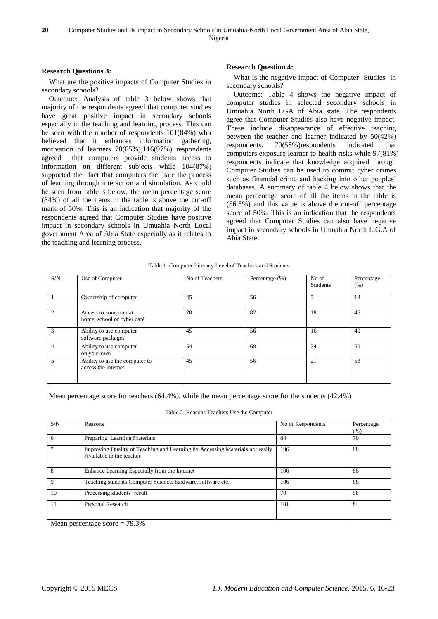## **Research Questions 3:**

What are the positive impacts of Computer Studies in secondary schools?

Outcome: Analysis of table 3 below shows that majority of the respondents agreed that computer studies have great positive impact in secondary schools especially in the teaching and learning process. This can be seen with the number of respondents 101(84%) who believed that it enhances information gathering, motivation of learners 78(65%),116(97%) respondents agreed that computers provide students access to information on different subjects while 104(87%) supported the fact that computers facilitate the process of learning through interaction and simulation. As could be seen from table 3 below, the mean percentage score (84%) of all the items in the table is above the cut-off mark of 50%. This is an indication that majority of the respondents agreed that Computer Studies have positive impact in secondary schools in Umuahia North Local government Area of Abia State especially as it relates to the teaching and learning process.

## **Research Question 4:**

What is the negative impact of Computer Studies in secondary schools?

Outcome: Table 4 shows the negative impact of computer studies in selected secondary schools in Umuahia North LGA of Abia state. The respondents agree that Computer Studies also have negative impact. These include disappearance of effective teaching between the teacher and learner indicated by 50(42%) respondents. 70(58%)respondents indicated that computers exposure learner to health risks while 97(81%) respondents indicate that knowledge acquired through Computer Studies can be used to commit cyber crimes such as financial crime and hacking into other peoples' databases. A summary of table 4 below shows that the mean percentage score of all the items in the table is (56.8%) and this value is above the cut-off percentage score of 50%. This is an indication that the respondents agreed that Computer Studies can also have negative impact in secondary schools in Umuahia North L.G.A of Abia State.

#### Table 1. Computer Literacy Level of Teachers and Students

| S/N            | Use of Computer                                        | No of Teachers | Percentage (%) | No of<br>Students | Percentage<br>(% ) |
|----------------|--------------------------------------------------------|----------------|----------------|-------------------|--------------------|
|                | Ownership of computer                                  | 45             | 56             | 5                 | 13                 |
| $\overline{2}$ | Access to computer at<br>home, school or cyber café    | 70             | 87             | 18                | 46                 |
| 3              | Ability to use computer<br>software packages           | 45             | 56             | 16                | 40                 |
| 4              | Ability to use computer<br>on your own                 | 54             | 68             | 24                | 60                 |
| 5              | Ability to use the computer to<br>access the internet. | 45             | 56             | 21                | 53                 |

Mean percentage score for teachers (64.4%), while the mean percentage score for the students (42.4%)

| S/N | Reasons                                                                                                  | No of Respondents | Percentage |
|-----|----------------------------------------------------------------------------------------------------------|-------------------|------------|
|     |                                                                                                          |                   | (% )       |
| 6   | Preparing Learning Materials                                                                             | 84                | 70         |
|     | Improving Quality of Teaching and Learning by Accessing Materials not easily<br>Available to the teacher | 106               | 88         |
| 8   | Enhance Learning Especially from the Internet                                                            | 106               | 88         |
| 9   | Teaching students Computer Science, hardware, software etc.                                              | 106               | 88         |
| 10  | Processing students' result                                                                              | 70                | 58         |
| 11  | Personal Research                                                                                        | 101               | 84         |

Mean percentage score  $= 79.3\%$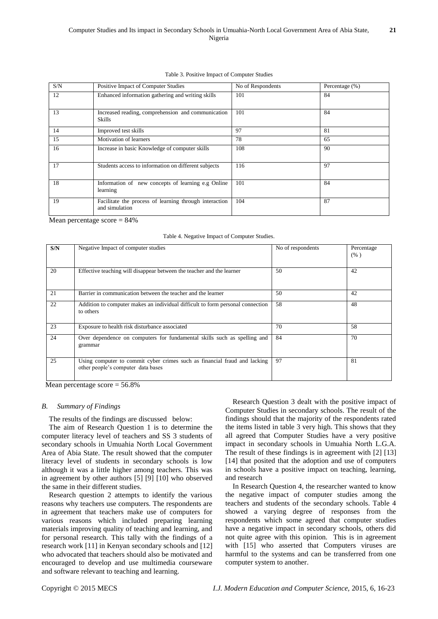#### Table 3. Positive Impact of Computer Studies

| S/N | Positive Impact of Computer Studies                                      | No of Respondents | Percentage $(\%)$ |
|-----|--------------------------------------------------------------------------|-------------------|-------------------|
| 12  | Enhanced information gathering and writing skills                        | 101               | 84                |
| 13  | Increased reading, comprehension and communication<br><b>Skills</b>      | 101               | 84                |
| 14  | Improved test skills                                                     | 97                | 81                |
| 15  | Motivation of learners                                                   | 78                | 65                |
| 16  | Increase in basic Knowledge of computer skills                           | 108               | 90                |
| 17  | Students access to information on different subjects                     | 116               | 97                |
| 18  | Information of new concepts of learning e.g Online<br>learning           | 101               | 84                |
| 19  | Facilitate the process of learning through interaction<br>and simulation | 104               | 87                |

Mean percentage  $score = 84%$ 

Table 4. Negative Impact of Computer Studies.

| S/N | Negative Impact of computer studies                                                                             | No of respondents | Percentage<br>(% ) |
|-----|-----------------------------------------------------------------------------------------------------------------|-------------------|--------------------|
| 20  | Effective teaching will disappear between the teacher and the learner                                           | 50                | 42                 |
| 21  | Barrier in communication between the teacher and the learner                                                    | 50                | 42                 |
| 22  | Addition to computer makes an individual difficult to form personal connection<br>to others                     | 58                | 48                 |
| 23  | Exposure to health risk disturbance associated                                                                  | 70                | 58                 |
| 24  | Over dependence on computers for fundamental skills such as spelling and<br>grammar                             | 84                | 70                 |
| 25  | Using computer to commit cyber crimes such as financial fraud and lacking<br>other people's computer data bases | 97                | 81                 |

Mean percentage  $score = 56.8\%$ 

#### *B. Summary of Findings*

The results of the findings are discussed below:

The aim of Research Question 1 is to determine the computer literacy level of teachers and SS 3 students of secondary schools in Umuahia North Local Government Area of Abia State. The result showed that the computer literacy level of students in secondary schools is low although it was a little higher among teachers. This was in agreement by other authors [5] [9] [10] who observed the same in their different studies.

Research question 2 attempts to identify the various reasons why teachers use computers. The respondents are in agreement that teachers make use of computers for various reasons which included preparing learning materials improving quality of teaching and learning, and for personal research. This tally with the findings of a research work [11] in Kenyan secondary schools and [12] who advocated that teachers should also be motivated and encouraged to develop and use multimedia courseware and software relevant to teaching and learning.

Research Question 3 dealt with the positive impact of Computer Studies in secondary schools. The result of the findings should that the majority of the respondents rated the items listed in table 3 very high. This shows that they all agreed that Computer Studies have a very positive impact in secondary schools in Umuahia North L.G.A. The result of these findings is in agreement with [2] [13] [14] that posited that the adoption and use of computers in schools have a positive impact on teaching, learning, and research

In Research Question 4, the researcher wanted to know the negative impact of computer studies among the teachers and students of the secondary schools. Table 4 showed a varying degree of responses from the respondents which some agreed that computer studies have a negative impact in secondary schools, others did not quite agree with this opinion. This is in agreement with [15] who asserted that Computers viruses are harmful to the systems and can be transferred from one computer system to another.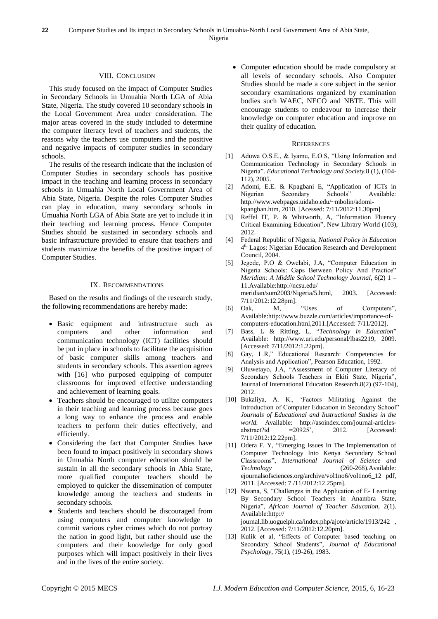#### VIII. CONCLUSION

This study focused on the impact of Computer Studies in Secondary Schools in Umuahia North LGA of Abia State, Nigeria. The study covered 10 secondary schools in the Local Government Area under consideration. The major areas covered in the study included to determine the computer literacy level of teachers and students, the reasons why the teachers use computers and the positive and negative impacts of computer studies in secondary schools.

The results of the research indicate that the inclusion of Computer Studies in secondary schools has positive impact in the teaching and learning process in secondary schools in Umuahia North Local Government Area of Abia State, Nigeria. Despite the roles Computer Studies can play in education, many secondary schools in Umuahia North LGA of Abia State are yet to include it in their teaching and learning process. Hence Computer Studies should be sustained in secondary schools and basic infrastructure provided to ensure that teachers and students maximize the benefits of the positive impact of Computer Studies.

#### IX. RECOMMENDATIONS

Based on the results and findings of the research study, the following recommendations are hereby made:

- Basic equipment and infrastructure such as computers and other information and communication technology (ICT) facilities should be put in place in schools to facilitate the acquisition of basic computer skills among teachers and students in secondary schools. This assertion agrees with [16] who purposed equipping of computer classrooms for improved effective understanding and achievement of learning goals.
- Teachers should be encouraged to utilize computers in their teaching and learning process because goes a long way to enhance the process and enable teachers to perform their duties effectively, and efficiently.
- Considering the fact that Computer Studies have been found to impact positively in secondary shows in Umuahia North computer education should be sustain in all the secondary schools in Abia State, more qualified computer teachers should be employed to quicker the dissemination of computer knowledge among the teachers and students in secondary schools.
- Students and teachers should be discouraged from using computers and computer knowledge to commit various cyber crimes which do not portray the nation in good light, but rather should use the computers and their knowledge for only good purposes which will impact positively in their lives and in the lives of the entire society.

 Computer education should be made compulsory at all levels of secondary schools. Also Computer Studies should be made a core subject in the senior secondary examinations organized by examination bodies such WAEC, NECO and NBTE. This will encourage students to endeavour to increase their knowledge on computer education and improve on their quality of education.

#### **REFERENCES**

- [1] Aduwa O.S.E., & Iyamu, E.O.S, "Using Information and Communication Technology in Secondary Schools in Nigeria‖. *Educational Technology and Society.*8 (1), (104- 112), 2005.
- [2] Adomi, E.E. & Kpagbani E, "Application of ICTs in Nigerian Secondary Schools" Available: http.//www.webpages.uidaho.edu/~mbolin/adomikpangban.htm, 2010. [Acessed: 7/11/2012:11.30pm]
- [3] Reffel IT, P. & Whitworth, A, "Information Fluency Critical Examining Education", New Library World (103), 2012.
- [4] Federal Republic of Nigeria, *National Policy in Education* 4 th Lagos: Nigerian Education Research and Development Council, 2004.
- [5] Jegede, P.O & Owelabi, J.A, "Computer Education in Nigeria Schools: Gaps Between Policy And Practice" *Meridian: A Middle School Technology Journal*, 6(2) 1 – 11.Available:http://ncsu.edu/ meridian/sum2003/Nigeria/5.html, 2003. [Accessed: 7/11/2012:12.28pm].
- [6] Oak, M, "Uses of Computers", Available:http://www.buzzle.com/articles/importance-ofcomputers-education.html,2011.[Accessed: 7/11/2012].
- [7] Bass, L & Ritting, L, "Technology in Education" Available: http://www.uri.edu/personal/lbas2219, 2009. [Accessed: 7/11/2012:1.22pm].
- [8] Gay, L.R," Educational Research: Competencies for Analysis and Application", Pearson Education, 1992.
- [9] Oluwetayo, J.A, "Assessment of Computer Literacy of Secondary Schools Teachers in Ekiti State, Nigeria", Journal of International Education Research.8(2) (97-104), 2012.
- [10] Bukaliya, A. K., ‗Factors Militating Against the Introduction of Computer Education in Secondary School" *Journals of Educational and Instructional Studies in the world.* Available: http://asoindex.com/journal-articlesabstract?id  $=20925'$ , 2012. [Accessed: 7/11/2012:12.22pm].
- [11] Odera F. Y, "Emerging Issues In The Implementation of Computer Technology Into Kenya Secondary School Classrooms‖, *International Journal of Science and Technology* (260-268).Available: ejournalsofsciences.org/archive/vol1no6/vol1no6\_12 pdf, 2011. [Accessed: 7 /11/2012:12.25pm].
- [12] Nwana, S, "Challenges in the Application of E- Learning By Secondary School Teachers in Anambra State, Nigeria‖, *African Journal of Teacher Education,* 2(1). Available:http:// journal.lib.uoguelph.ca/index.php/ajote/article/1913/242 , 2012. [Accessed: 7/11/2012:12.20pm].
- [13] Kulik et al, "Effects of Computer based teaching on Secondary School Students", *Journal of Educational Psychology*, 75(1), (19-26), 1983.